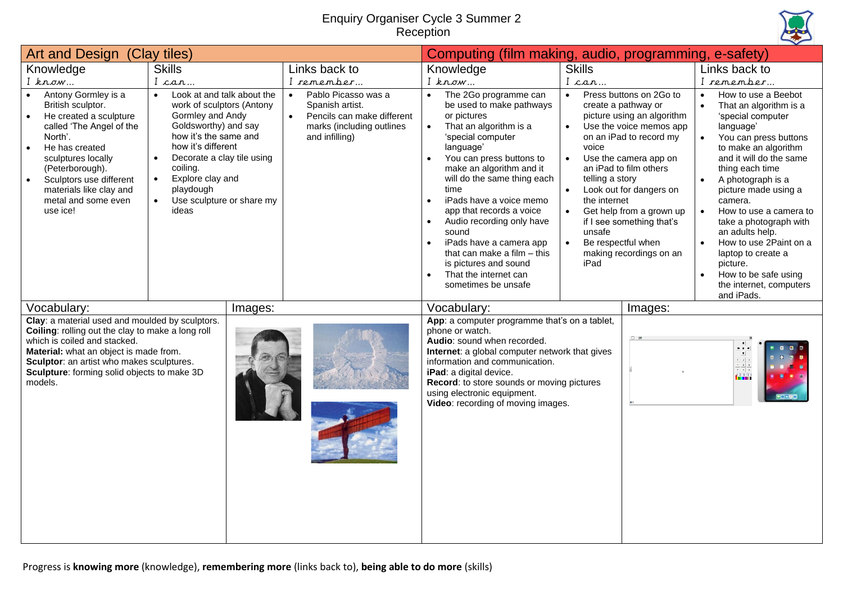## Enquiry Organiser Cycle 3 Summer 2 Reception



| Art and Design (Clay tiles)                                                                                                                                                                                                                                                             |                                                                                                                                                                                                                                                                                                                         | Computing (film making, audio, programming, e-safety)                                                                                         |                                                                                                                                                                                                                                                                                                                                                                                                                                                                                                      |                                                                                                                                                                |                                                                                                                                                                                                                                                                                                      |                                                                                                                                                                                                                                                                                                                                                                                                                                                                                                |
|-----------------------------------------------------------------------------------------------------------------------------------------------------------------------------------------------------------------------------------------------------------------------------------------|-------------------------------------------------------------------------------------------------------------------------------------------------------------------------------------------------------------------------------------------------------------------------------------------------------------------------|-----------------------------------------------------------------------------------------------------------------------------------------------|------------------------------------------------------------------------------------------------------------------------------------------------------------------------------------------------------------------------------------------------------------------------------------------------------------------------------------------------------------------------------------------------------------------------------------------------------------------------------------------------------|----------------------------------------------------------------------------------------------------------------------------------------------------------------|------------------------------------------------------------------------------------------------------------------------------------------------------------------------------------------------------------------------------------------------------------------------------------------------------|------------------------------------------------------------------------------------------------------------------------------------------------------------------------------------------------------------------------------------------------------------------------------------------------------------------------------------------------------------------------------------------------------------------------------------------------------------------------------------------------|
| Knowledge<br>$I$ know                                                                                                                                                                                                                                                                   | <b>Skills</b><br>I can                                                                                                                                                                                                                                                                                                  | Links back to<br>I remember                                                                                                                   | Knowledge<br>$I$ know                                                                                                                                                                                                                                                                                                                                                                                                                                                                                | <b>Skills</b><br>I can                                                                                                                                         |                                                                                                                                                                                                                                                                                                      | Links back to<br>I remember                                                                                                                                                                                                                                                                                                                                                                                                                                                                    |
| Antony Gormley is a<br>$\bullet$<br>British sculptor.<br>He created a sculpture<br>called 'The Angel of the<br>North'.<br>He has created<br>$\bullet$<br>sculptures locally<br>(Peterborough).<br>Sculptors use different<br>materials like clay and<br>metal and some even<br>use ice! | Look at and talk about the<br>$\bullet$<br>work of sculptors (Antony<br>Gormley and Andy<br>Goldsworthy) and say<br>how it's the same and<br>how it's different<br>Decorate a clay tile using<br>$\bullet$<br>coiling.<br>Explore clay and<br>$\bullet$<br>playdough<br>Use sculpture or share my<br>$\bullet$<br>ideas | Pablo Picasso was a<br>$\bullet$<br>Spanish artist.<br>Pencils can make different<br>$\bullet$<br>marks (including outlines<br>and infilling) | The 2Go programme can<br>be used to make pathways<br>or pictures<br>That an algorithm is a<br>'special computer<br>language'<br>You can press buttons to<br>make an algorithm and it<br>will do the same thing each<br>time<br>iPads have a voice memo<br>$\bullet$<br>app that records a voice<br>Audio recording only have<br>sound<br>iPads have a camera app<br>$\bullet$<br>that can make a film $-$ this<br>is pictures and sound<br>That the internet can<br>$\bullet$<br>sometimes be unsafe | $\bullet$<br>$\bullet$<br>voice<br>$\bullet$<br>telling a story<br>$\bullet$<br>the internet<br>$\bullet$<br>unsafe<br>Be respectful when<br>$\bullet$<br>iPad | Press buttons on 2Go to<br>create a pathway or<br>picture using an algorithm<br>Use the voice memos app<br>on an iPad to record my<br>Use the camera app on<br>an iPad to film others<br>Look out for dangers on<br>Get help from a grown up<br>if I see something that's<br>making recordings on an | How to use a Beebot<br>That an algorithm is a<br>$\bullet$<br>'special computer<br>language'<br>You can press buttons<br>to make an algorithm<br>and it will do the same<br>thing each time<br>A photograph is a<br>$\bullet$<br>picture made using a<br>camera.<br>$\bullet$<br>How to use a camera to<br>take a photograph with<br>an adults help.<br>How to use 2Paint on a<br>laptop to create a<br>picture.<br>How to be safe using<br>$\bullet$<br>the internet, computers<br>and iPads. |
| Vocabulary:<br>Images:<br>Clay: a material used and moulded by sculptors.                                                                                                                                                                                                               |                                                                                                                                                                                                                                                                                                                         |                                                                                                                                               | Vocabulary:<br>App: a computer programme that's on a tablet,                                                                                                                                                                                                                                                                                                                                                                                                                                         |                                                                                                                                                                | Images:                                                                                                                                                                                                                                                                                              |                                                                                                                                                                                                                                                                                                                                                                                                                                                                                                |
| Coiling: rolling out the clay to make a long roll<br>which is coiled and stacked.<br>Material: what an object is made from.<br>Sculptor: an artist who makes sculptures.<br>Sculpture: forming solid objects to make 3D<br>models.                                                      |                                                                                                                                                                                                                                                                                                                         |                                                                                                                                               | phone or watch.<br>Audio: sound when recorded.<br>Internet: a global computer network that gives<br>information and communication.<br>iPad: a digital device.<br>Record: to store sounds or moving pictures<br>using electronic equipment.<br>Video: recording of moving images.                                                                                                                                                                                                                     |                                                                                                                                                                |                                                                                                                                                                                                                                                                                                      |                                                                                                                                                                                                                                                                                                                                                                                                                                                                                                |